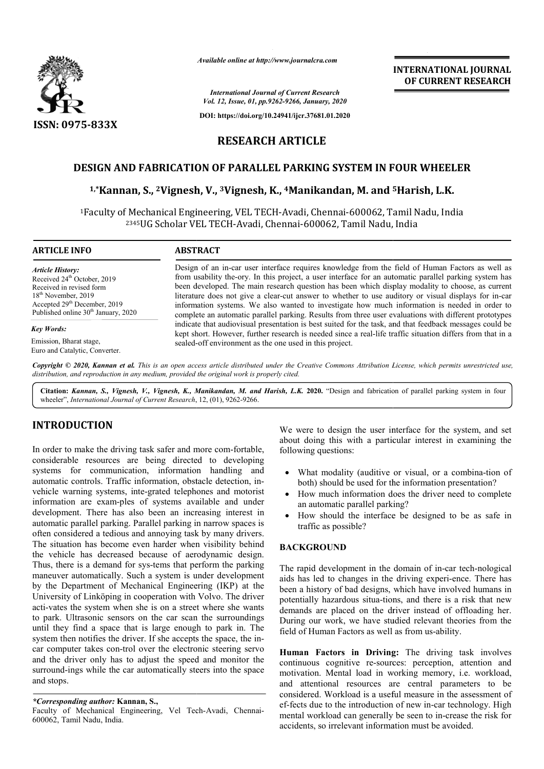

*Available online at http://www.journalcra.com*

## **INTERNATIONAL JOURNAL OF CURRENT RESEARCH**

## **RESEARCH ARTICLE**

## DESIGN AND FABRICATION OF PARALLEL PARKING SYSTEM IN FOUR WHEELER

### **1,\*Kannan, S., 2Vignesh Vignesh, V., 3Vignesh, K., 4Manikandan, M. and <sup>5</sup> 5Harish, L.K.**

|                                                                                                                                                                                                                                                                                                                                                                                                                                                                                                                                                                                                                                                                                                                                                                                                                                                                                                                                                                                                                                                                                                                                                                                                                                                                                                                                                                                                                                                                                                                                                                                                                               |                                                                                                                                                                                                                                                                                                                                                                                                                                                                                                                                                                                                                                                                                                                                                                                                                                                                                                                      | <b>INTERNATIONAL JOURNAL</b><br>OF CURRENT RESEARCH                                                                                                                                                                                                                                                                                                                                                                                                                       |
|-------------------------------------------------------------------------------------------------------------------------------------------------------------------------------------------------------------------------------------------------------------------------------------------------------------------------------------------------------------------------------------------------------------------------------------------------------------------------------------------------------------------------------------------------------------------------------------------------------------------------------------------------------------------------------------------------------------------------------------------------------------------------------------------------------------------------------------------------------------------------------------------------------------------------------------------------------------------------------------------------------------------------------------------------------------------------------------------------------------------------------------------------------------------------------------------------------------------------------------------------------------------------------------------------------------------------------------------------------------------------------------------------------------------------------------------------------------------------------------------------------------------------------------------------------------------------------------------------------------------------------|----------------------------------------------------------------------------------------------------------------------------------------------------------------------------------------------------------------------------------------------------------------------------------------------------------------------------------------------------------------------------------------------------------------------------------------------------------------------------------------------------------------------------------------------------------------------------------------------------------------------------------------------------------------------------------------------------------------------------------------------------------------------------------------------------------------------------------------------------------------------------------------------------------------------|---------------------------------------------------------------------------------------------------------------------------------------------------------------------------------------------------------------------------------------------------------------------------------------------------------------------------------------------------------------------------------------------------------------------------------------------------------------------------|
|                                                                                                                                                                                                                                                                                                                                                                                                                                                                                                                                                                                                                                                                                                                                                                                                                                                                                                                                                                                                                                                                                                                                                                                                                                                                                                                                                                                                                                                                                                                                                                                                                               |                                                                                                                                                                                                                                                                                                                                                                                                                                                                                                                                                                                                                                                                                                                                                                                                                                                                                                                      | <b>International Journal of Current Research</b><br>Vol. 12, Issue, 01, pp.9262-9266, January, 2020                                                                                                                                                                                                                                                                                                                                                                       |
|                                                                                                                                                                                                                                                                                                                                                                                                                                                                                                                                                                                                                                                                                                                                                                                                                                                                                                                                                                                                                                                                                                                                                                                                                                                                                                                                                                                                                                                                                                                                                                                                                               |                                                                                                                                                                                                                                                                                                                                                                                                                                                                                                                                                                                                                                                                                                                                                                                                                                                                                                                      | DOI: https://doi.org/10.24941/ijcr.37681.01.2020                                                                                                                                                                                                                                                                                                                                                                                                                          |
| <b>ISSN: 0975-833X</b>                                                                                                                                                                                                                                                                                                                                                                                                                                                                                                                                                                                                                                                                                                                                                                                                                                                                                                                                                                                                                                                                                                                                                                                                                                                                                                                                                                                                                                                                                                                                                                                                        |                                                                                                                                                                                                                                                                                                                                                                                                                                                                                                                                                                                                                                                                                                                                                                                                                                                                                                                      |                                                                                                                                                                                                                                                                                                                                                                                                                                                                           |
|                                                                                                                                                                                                                                                                                                                                                                                                                                                                                                                                                                                                                                                                                                                                                                                                                                                                                                                                                                                                                                                                                                                                                                                                                                                                                                                                                                                                                                                                                                                                                                                                                               | <b>RESEARCH ARTICLE</b>                                                                                                                                                                                                                                                                                                                                                                                                                                                                                                                                                                                                                                                                                                                                                                                                                                                                                              |                                                                                                                                                                                                                                                                                                                                                                                                                                                                           |
|                                                                                                                                                                                                                                                                                                                                                                                                                                                                                                                                                                                                                                                                                                                                                                                                                                                                                                                                                                                                                                                                                                                                                                                                                                                                                                                                                                                                                                                                                                                                                                                                                               |                                                                                                                                                                                                                                                                                                                                                                                                                                                                                                                                                                                                                                                                                                                                                                                                                                                                                                                      | <b>DESIGN AND FABRICATION OF PARALLEL PARKING SYSTEM IN FOUR WHEELER</b>                                                                                                                                                                                                                                                                                                                                                                                                  |
|                                                                                                                                                                                                                                                                                                                                                                                                                                                                                                                                                                                                                                                                                                                                                                                                                                                                                                                                                                                                                                                                                                                                                                                                                                                                                                                                                                                                                                                                                                                                                                                                                               |                                                                                                                                                                                                                                                                                                                                                                                                                                                                                                                                                                                                                                                                                                                                                                                                                                                                                                                      | <sup>1,*</sup> Kannan, S., <sup>2</sup> Vignesh, V., <sup>3</sup> Vignesh, K., <sup>4</sup> Manikandan, M. and <sup>5</sup> Harish, L.K.                                                                                                                                                                                                                                                                                                                                  |
|                                                                                                                                                                                                                                                                                                                                                                                                                                                                                                                                                                                                                                                                                                                                                                                                                                                                                                                                                                                                                                                                                                                                                                                                                                                                                                                                                                                                                                                                                                                                                                                                                               |                                                                                                                                                                                                                                                                                                                                                                                                                                                                                                                                                                                                                                                                                                                                                                                                                                                                                                                      | <sup>1</sup> Faculty of Mechanical Engineering, VEL TECH-Avadi, Chennai-600062, Tamil Nadu, India<br><sup>2345</sup> UG Scholar VEL TECH-Avadi, Chennai-600062, Tamil Nadu, India                                                                                                                                                                                                                                                                                         |
| <b>ARTICLE INFO</b>                                                                                                                                                                                                                                                                                                                                                                                                                                                                                                                                                                                                                                                                                                                                                                                                                                                                                                                                                                                                                                                                                                                                                                                                                                                                                                                                                                                                                                                                                                                                                                                                           | <b>ABSTRACT</b>                                                                                                                                                                                                                                                                                                                                                                                                                                                                                                                                                                                                                                                                                                                                                                                                                                                                                                      |                                                                                                                                                                                                                                                                                                                                                                                                                                                                           |
| <b>Article History:</b><br>Received 24 <sup>th</sup> October, 2019<br>Received in revised form<br>18 <sup>th</sup> November, 2019<br>Accepted 29 <sup>th</sup> December, 2019<br>Published online 30 <sup>th</sup> January, 2020<br><b>Key Words:</b><br>Emission, Bharat stage,<br>Euro and Catalytic, Converter.                                                                                                                                                                                                                                                                                                                                                                                                                                                                                                                                                                                                                                                                                                                                                                                                                                                                                                                                                                                                                                                                                                                                                                                                                                                                                                            | Design of an in-car user interface requires knowledge from the field of Human Factors as well as<br>from usability the-ory. In this project, a user interface for an automatic parallel parking system has<br>been developed. The main research question has been which display modality to choose, as current<br>literature does not give a clear-cut answer to whether to use auditory or visual displays for in-car<br>information systems. We also wanted to investigate how much information is needed in order to<br>complete an automatic parallel parking. Results from three user evaluations with different prototypes<br>indicate that audiovisual presentation is best suited for the task, and that feedback messages could be<br>kept short. However, further research is needed since a real-life traffic situation differs from that in a<br>sealed-off environment as the one used in this project. |                                                                                                                                                                                                                                                                                                                                                                                                                                                                           |
| distribution, and reproduction in any medium, provided the original work is properly cited.                                                                                                                                                                                                                                                                                                                                                                                                                                                                                                                                                                                                                                                                                                                                                                                                                                                                                                                                                                                                                                                                                                                                                                                                                                                                                                                                                                                                                                                                                                                                   |                                                                                                                                                                                                                                                                                                                                                                                                                                                                                                                                                                                                                                                                                                                                                                                                                                                                                                                      | Copyright © 2020, Kannan et al. This is an open access article distributed under the Creative Commons Attribution License, which permits unrestricted use,                                                                                                                                                                                                                                                                                                                |
| wheeler", International Journal of Current Research, 12, (01), 9262-9266.                                                                                                                                                                                                                                                                                                                                                                                                                                                                                                                                                                                                                                                                                                                                                                                                                                                                                                                                                                                                                                                                                                                                                                                                                                                                                                                                                                                                                                                                                                                                                     |                                                                                                                                                                                                                                                                                                                                                                                                                                                                                                                                                                                                                                                                                                                                                                                                                                                                                                                      | Citation: Kannan, S., Vignesh, V., Vignesh, K., Manikandan, M. and Harish, L.K. 2020. "Design and fabrication of parallel parking system in four                                                                                                                                                                                                                                                                                                                          |
| <b>INTRODUCTION</b><br>In order to make the driving task safer and more com-fortable,<br>considerable resources are being directed to developing<br>systems for communication, information handling and<br>automatic controls. Traffic information, obstacle detection, in-<br>vehicle warning systems, inte-grated telephones and motorist<br>information are exam-ples of systems available and under<br>development. There has also been an increasing interest in<br>automatic parallel parking. Parallel parking in narrow spaces is<br>often considered a tedious and annoying task by many drivers.<br>The situation has become even harder when visibility behind<br>the vehicle has decreased because of aerodynamic design.<br>Thus, there is a demand for sys-tems that perform the parking<br>maneuver automatically. Such a system is under development<br>by the Department of Mechanical Engineering (IKP) at the<br>University of Linköping in cooperation with Volvo. The driver<br>acti-vates the system when she is on a street where she wants<br>to park. Ultrasonic sensors on the car scan the surroundings<br>until they find a space that is large enough to park in. The<br>system then notifies the driver. If she accepts the space, the in-<br>car computer takes con-trol over the electronic steering servo<br>and the driver only has to adjust the speed and monitor the<br>surround-ings while the car automatically steers into the space<br>and stops.<br>*Corresponding author: Kannan, S.,<br>Faculty of Mechanical Engineering, Vel Tech-Avadi, Chennai-<br>600062, Tamil Nadu, India. |                                                                                                                                                                                                                                                                                                                                                                                                                                                                                                                                                                                                                                                                                                                                                                                                                                                                                                                      | We were to design the user interface for the system, and set<br>about doing this with a particular interest in examining the<br>following questions:                                                                                                                                                                                                                                                                                                                      |
|                                                                                                                                                                                                                                                                                                                                                                                                                                                                                                                                                                                                                                                                                                                                                                                                                                                                                                                                                                                                                                                                                                                                                                                                                                                                                                                                                                                                                                                                                                                                                                                                                               |                                                                                                                                                                                                                                                                                                                                                                                                                                                                                                                                                                                                                                                                                                                                                                                                                                                                                                                      | What modality (auditive or visual, or a combina-tion of<br>both) should be used for the information presentation?<br>How much information does the driver need to complete<br>an automatic parallel parking?<br>How should the interface be designed to be as safe in<br>$\bullet$<br>traffic as possible?                                                                                                                                                                |
|                                                                                                                                                                                                                                                                                                                                                                                                                                                                                                                                                                                                                                                                                                                                                                                                                                                                                                                                                                                                                                                                                                                                                                                                                                                                                                                                                                                                                                                                                                                                                                                                                               |                                                                                                                                                                                                                                                                                                                                                                                                                                                                                                                                                                                                                                                                                                                                                                                                                                                                                                                      | <b>BACKGROUND</b><br>The rapid development in the domain of in-car tech-nological<br>aids has led to changes in the driving experi-ence. There has<br>been a history of bad designs, which have involved humans in<br>potentially hazardous situa-tions, and there is a risk that new<br>demands are placed on the driver instead of offloading her.<br>During our work, we have studied relevant theories from the<br>field of Human Factors as well as from us-ability. |
|                                                                                                                                                                                                                                                                                                                                                                                                                                                                                                                                                                                                                                                                                                                                                                                                                                                                                                                                                                                                                                                                                                                                                                                                                                                                                                                                                                                                                                                                                                                                                                                                                               |                                                                                                                                                                                                                                                                                                                                                                                                                                                                                                                                                                                                                                                                                                                                                                                                                                                                                                                      | Human Factors in Driving: The driving task involves<br>continuous cognitive re-sources: perception, attention and<br>motivation. Mental load in working memory, i.e. workload,<br>and attentional resources are central parameters to be<br>considered. Workload is a useful measure in the assessment of<br>ef-fects due to the introduction of new in-car technology. High<br>mental workload can generally be seen to in-crease the risk for                           |

# **INTRODUCTION**

- both) should be used for the information presentation?
- How much information does the driver need to complete an automatic parallel parking?
- How should the interface be designed to be as safe in traffic as possible? information does the driver need to complete<br>c parallel parking?<br>i the interface be designed to be as safe in<br>ssible?<br>**D**

#### **BACKGROUND**

*<sup>\*</sup>Corresponding author:* **Kannan, S.,** 

Faculty of Mechanical Engineering, Vel Tech-Avadi, Chennai-600062, Tamil Nadu, India.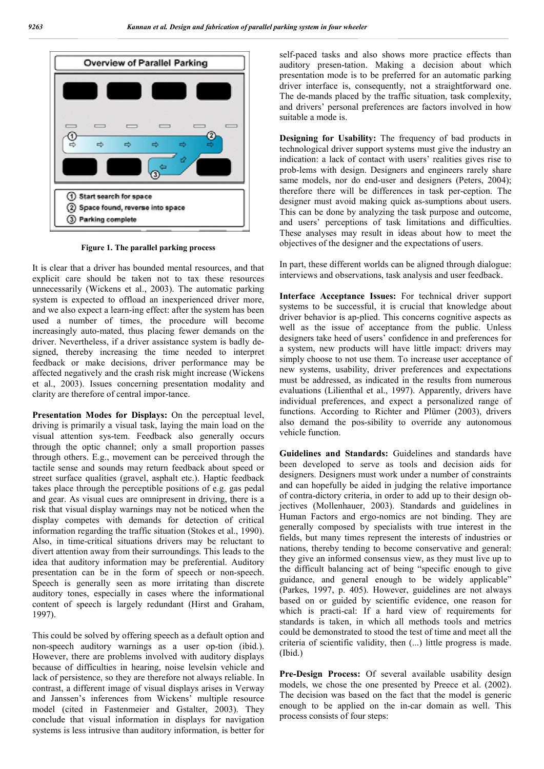

**Figure 1. The parallel parking process**

It is clear that a driver has bounded mental resources, and that explicit care should be taken not to tax these resources unnecessarily (Wickens et al., 2003). The automatic parking system is expected to offload an inexperienced driver more, and we also expect a learn-ing effect: after the system has been used a number of times, the procedure will become increasingly auto-mated, thus placing fewer demands on the driver. Nevertheless, if a driver assistance system is badly designed, thereby increasing the time needed to interpret feedback or make decisions, driver performance may be affected negatively and the crash risk might increase (Wickens et al., 2003). Issues concerning presentation modality and clarity are therefore of central impor-tance.

**Presentation Modes for Displays:** On the perceptual level, driving is primarily a visual task, laying the main load on the visual attention sys-tem. Feedback also generally occurs through the optic channel; only a small proportion passes through others. E.g., movement can be perceived through the tactile sense and sounds may return feedback about speed or street surface qualities (gravel, asphalt etc.). Haptic feedback takes place through the perceptible positions of e.g. gas pedal and gear. As visual cues are omnipresent in driving, there is a risk that visual display warnings may not be noticed when the display competes with demands for detection of critical information regarding the traffic situation (Stokes et al., 1990). Also, in time-critical situations drivers may be reluctant to divert attention away from their surroundings. This leads to the idea that auditory information may be preferential. Auditory presentation can be in the form of speech or non-speech. Speech is generally seen as more irritating than discrete auditory tones, especially in cases where the informational content of speech is largely redundant (Hirst and Graham, 1997).

This could be solved by offering speech as a default option and non-speech auditory warnings as a user op-tion (ibid.). However, there are problems involved with auditory displays because of difficulties in hearing, noise levelsin vehicle and lack of persistence, so they are therefore not always reliable. In contrast, a different image of visual displays arises in Verway and Janssen's inferences from Wickens' multiple resource model (cited in Fastenmeier and Gstalter, 2003). They conclude that visual information in displays for navigation systems is less intrusive than auditory information, is better for self-paced tasks and also shows more practice effects than auditory presen-tation. Making a decision about which presentation mode is to be preferred for an automatic parking driver interface is, consequently, not a straightforward one. The de-mands placed by the traffic situation, task complexity, and drivers' personal preferences are factors involved in how suitable a mode is.

**Designing for Usability:** The frequency of bad products in technological driver support systems must give the industry an indication: a lack of contact with users' realities gives rise to prob-lems with design. Designers and engineers rarely share same models, nor do end-user and designers (Peters, 2004); therefore there will be differences in task per-ception. The designer must avoid making quick as-sumptions about users. This can be done by analyzing the task purpose and outcome, and users' perceptions of task limitations and difficulties. These analyses may result in ideas about how to meet the objectives of the designer and the expectations of users.

In part, these different worlds can be aligned through dialogue: interviews and observations, task analysis and user feedback.

**Interface Acceptance Issues:** For technical driver support systems to be successful, it is crucial that knowledge about driver behavior is ap-plied. This concerns cognitive aspects as well as the issue of acceptance from the public. Unless designers take heed of users' confidence in and preferences for a system, new products will have little impact: drivers may simply choose to not use them. To increase user acceptance of new systems, usability, driver preferences and expectations must be addressed, as indicated in the results from numerous evaluations (Lilienthal et al., 1997). Apparently, drivers have individual preferences, and expect a personalized range of functions. According to Richter and Plümer (2003), drivers also demand the pos-sibility to override any autonomous vehicle function.

**Guidelines and Standards:** Guidelines and standards have been developed to serve as tools and decision aids for designers. Designers must work under a number of constraints and can hopefully be aided in judging the relative importance of contra-dictory criteria, in order to add up to their design objectives (Mollenhauer, 2003). Standards and guidelines in Human Factors and ergo-nomics are not binding. They are generally composed by specialists with true interest in the fields, but many times represent the interests of industries or nations, thereby tending to become conservative and general: they give an informed consensus view, as they must live up to the difficult balancing act of being "specific enough to give guidance, and general enough to be widely applicable" (Parkes, 1997, p. 405). However, guidelines are not always based on or guided by scientific evidence, one reason for which is practi-cal: If a hard view of requirements for standards is taken, in which all methods tools and metrics could be demonstrated to stood the test of time and meet all the criteria of scientific validity, then (...) little progress is made. (Ibid.)

**Pre-Design Process:** Of several available usability design models, we chose the one presented by Preece et al. (2002). The decision was based on the fact that the model is generic enough to be applied on the in-car domain as well. This process consists of four steps: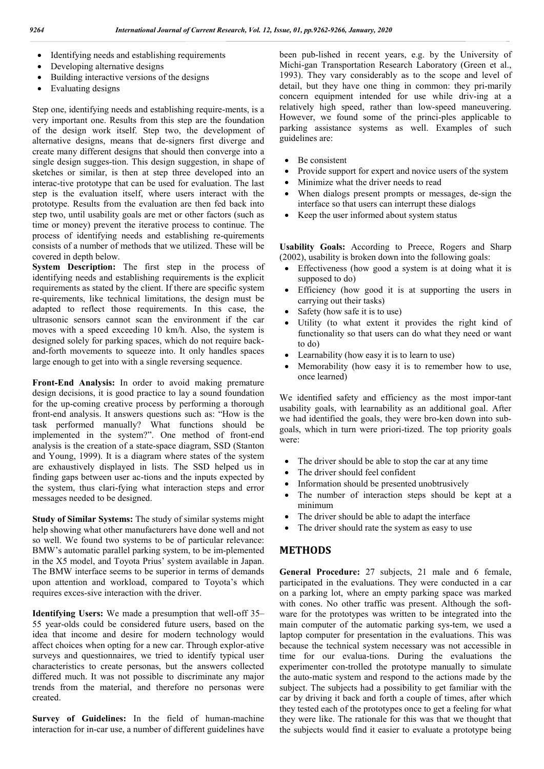- Identifying needs and establishing requirements
- Developing alternative designs
- Building interactive versions of the designs
- Evaluating designs

Step one, identifying needs and establishing require-ments, is a very important one. Results from this step are the foundation of the design work itself. Step two, the development of alternative designs, means that de-signers first diverge and create many different designs that should then converge into a single design sugges-tion. This design suggestion, in shape of sketches or similar, is then at step three developed into an interac-tive prototype that can be used for evaluation. The last step is the evaluation itself, where users interact with the prototype. Results from the evaluation are then fed back into step two, until usability goals are met or other factors (such as time or money) prevent the iterative process to continue. The process of identifying needs and establishing re-quirements consists of a number of methods that we utilized. These will be covered in depth below.

**System Description:** The first step in the process of identifying needs and establishing requirements is the explicit requirements as stated by the client. If there are specific system re-quirements, like technical limitations, the design must be adapted to reflect those requirements. In this case, the ultrasonic sensors cannot scan the environment if the car moves with a speed exceeding 10 km/h. Also, the system is designed solely for parking spaces, which do not require backand-forth movements to squeeze into. It only handles spaces large enough to get into with a single reversing sequence.

**Front-End Analysis:** In order to avoid making premature design decisions, it is good practice to lay a sound foundation for the up-coming creative process by performing a thorough front-end analysis. It answers questions such as: "How is the task performed manually? What functions should be implemented in the system?". One method of front-end analysis is the creation of a state-space diagram, SSD (Stanton and Young, 1999). It is a diagram where states of the system are exhaustively displayed in lists. The SSD helped us in finding gaps between user ac-tions and the inputs expected by the system, thus clari-fying what interaction steps and error messages needed to be designed.

**Study of Similar Systems:** The study of similar systems might help showing what other manufacturers have done well and not so well. We found two systems to be of particular relevance: BMW's automatic parallel parking system, to be im-plemented in the X5 model, and Toyota Prius' system available in Japan. The BMW interface seems to be superior in terms of demands upon attention and workload, compared to Toyota's which requires exces-sive interaction with the driver.

**Identifying Users:** We made a presumption that well-off 35– 55 year-olds could be considered future users, based on the idea that income and desire for modern technology would affect choices when opting for a new car. Through explor-ative surveys and questionnaires, we tried to identify typical user characteristics to create personas, but the answers collected differed much. It was not possible to discriminate any major trends from the material, and therefore no personas were created.

**Survey of Guidelines:** In the field of human-machine interaction for in-car use, a number of different guidelines have

been pub-lished in recent years, e.g. by the University of Michi-gan Transportation Research Laboratory (Green et al., 1993). They vary considerably as to the scope and level of detail, but they have one thing in common: they pri-marily concern equipment intended for use while driv-ing at a relatively high speed, rather than low-speed maneuvering. However, we found some of the princi-ples applicable to parking assistance systems as well. Examples of such guidelines are:

- Be consistent
- Provide support for expert and novice users of the system
- Minimize what the driver needs to read
- When dialogs present prompts or messages, de-sign the interface so that users can interrupt these dialogs
- Keep the user informed about system status

**Usability Goals:** According to Preece, Rogers and Sharp (2002), usability is broken down into the following goals:

- Effectiveness (how good a system is at doing what it is supposed to do)
- Efficiency (how good it is at supporting the users in carrying out their tasks)
- Safety (how safe it is to use)
- Utility (to what extent it provides the right kind of functionality so that users can do what they need or want to do)
- Learnability (how easy it is to learn to use)
- Memorability (how easy it is to remember how to use, once learned)

We identified safety and efficiency as the most impor-tant usability goals, with learnability as an additional goal. After we had identified the goals, they were bro-ken down into subgoals, which in turn were priori-tized. The top priority goals were:

- The driver should be able to stop the car at any time
- The driver should feel confident
- Information should be presented unobtrusively
- The number of interaction steps should be kept at a minimum
- The driver should be able to adapt the interface
- The driver should rate the system as easy to use

### **METHODS**

**General Procedure:** 27 subjects, 21 male and 6 female, participated in the evaluations. They were conducted in a car on a parking lot, where an empty parking space was marked with cones. No other traffic was present. Although the software for the prototypes was written to be integrated into the main computer of the automatic parking sys-tem, we used a laptop computer for presentation in the evaluations. This was because the technical system necessary was not accessible in time for our evalua-tions. During the evaluations the experimenter con-trolled the prototype manually to simulate the auto-matic system and respond to the actions made by the subject. The subjects had a possibility to get familiar with the car by driving it back and forth a couple of times, after which they tested each of the prototypes once to get a feeling for what they were like. The rationale for this was that we thought that the subjects would find it easier to evaluate a prototype being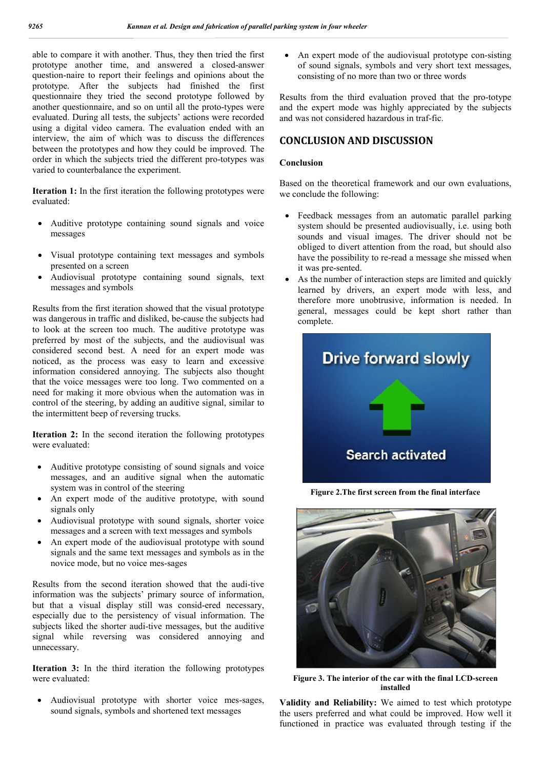able to compare it with another. Thus, they then tried the first prototype another time, and answered a closed-answer question-naire to report their feelings and opinions about the prototype. After the subjects had finished the first questionnaire they tried the second prototype followed by another questionnaire, and so on until all the proto-types were evaluated. During all tests, the subjects' actions were recorded using a digital video camera. The evaluation ended with an interview, the aim of which was to discuss the differences between the prototypes and how they could be improved. The order in which the subjects tried the different pro-totypes was varied to counterbalance the experiment.

**Iteration 1:** In the first iteration the following prototypes were evaluated:

- Auditive prototype containing sound signals and voice messages
- Visual prototype containing text messages and symbols presented on a screen
- Audiovisual prototype containing sound signals, text messages and symbols

Results from the first iteration showed that the visual prototype was dangerous in traffic and disliked, be-cause the subjects had to look at the screen too much. The auditive prototype was preferred by most of the subjects, and the audiovisual was considered second best. A need for an expert mode was noticed, as the process was easy to learn and excessive information considered annoying. The subjects also thought that the voice messages were too long. Two commented on a need for making it more obvious when the automation was in control of the steering, by adding an auditive signal, similar to the intermittent beep of reversing trucks.

**Iteration 2:** In the second iteration the following prototypes were evaluated:

- Auditive prototype consisting of sound signals and voice messages, and an auditive signal when the automatic system was in control of the steering
- An expert mode of the auditive prototype, with sound signals only
- Audiovisual prototype with sound signals, shorter voice messages and a screen with text messages and symbols
- An expert mode of the audiovisual prototype with sound signals and the same text messages and symbols as in the novice mode, but no voice mes-sages

Results from the second iteration showed that the audi-tive information was the subjects' primary source of information, but that a visual display still was consid-ered necessary, especially due to the persistency of visual information. The subjects liked the shorter audi-tive messages, but the auditive signal while reversing was considered annoying and unnecessary.

**Iteration 3:** In the third iteration the following prototypes were evaluated:

 Audiovisual prototype with shorter voice mes-sages, sound signals, symbols and shortened text messages

 An expert mode of the audiovisual prototype con-sisting of sound signals, symbols and very short text messages, consisting of no more than two or three words

Results from the third evaluation proved that the pro-totype and the expert mode was highly appreciated by the subjects and was not considered hazardous in traf-fic.

### **CONCLUSION AND DISCUSSION**

#### **Conclusion**

Based on the theoretical framework and our own evaluations, we conclude the following:

- Feedback messages from an automatic parallel parking system should be presented audiovisually, i.e. using both sounds and visual images. The driver should not be obliged to divert attention from the road, but should also have the possibility to re-read a message she missed when it was pre-sented.
- As the number of interaction steps are limited and quickly learned by drivers, an expert mode with less, and therefore more unobtrusive, information is needed. In general, messages could be kept short rather than complete.



**Figure 2.The first screen from the final interface**



**Figure 3. The interior of the car with the final LCD-screen installed**

**Validity and Reliability:** We aimed to test which prototype the users preferred and what could be improved. How well it functioned in practice was evaluated through testing if the